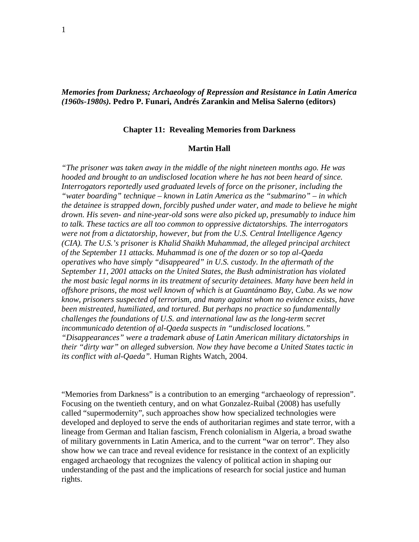## *Memories from Darkness; Archaeology of Repression and Resistance in Latin America (1960s-1980s).* **Pedro P. Funari, Andrés Zarankin and Melisa Salerno (editors)**

## **Chapter 11: Revealing Memories from Darkness**

## **Martin Hall**

*"The prisoner was taken away in the middle of the night nineteen months ago. He was hooded and brought to an undisclosed location where he has not been heard of since. Interrogators reportedly used graduated levels of force on the prisoner, including the "water boarding" technique – known in Latin America as the "submarino" – in which the detainee is strapped down, forcibly pushed under water, and made to believe he might drown. His seven- and nine-year-old sons were also picked up, presumably to induce him to talk. These tactics are all too common to oppressive dictatorships. The interrogators were not from a dictatorship, however, but from the U.S. Central Intelligence Agency (CIA). The U.S.'s prisoner is Khalid Shaikh Muhammad, the alleged principal architect of the September 11 attacks. Muhammad is one of the dozen or so top al-Qaeda operatives who have simply "disappeared" in U.S. custody. In the aftermath of the September 11, 2001 attacks on the United States, the Bush administration has violated the most basic legal norms in its treatment of security detainees. Many have been held in offshore prisons, the most well known of which is at Guantánamo Bay, Cuba. As we now know, prisoners suspected of terrorism, and many against whom no evidence exists, have been mistreated, humiliated, and tortured. But perhaps no practice so fundamentally challenges the foundations of U.S. and international law as the long-term secret incommunicado detention of al-Qaeda suspects in "undisclosed locations." "Disappearances" were a trademark abuse of Latin American military dictatorships in their "dirty war" on alleged subversion. Now they have become a United States tactic in its conflict with al-Qaeda".* Human Rights Watch, 2004.

"Memories from Darkness" is a contribution to an emerging "archaeology of repression". Focusing on the twentieth century, and on what Gonzalez-Ruibal (2008) has usefully called "supermodernity", such approaches show how specialized technologies were developed and deployed to serve the ends of authoritarian regimes and state terror, with a lineage from German and Italian fascism, French colonialism in Algeria, a broad swathe of military governments in Latin America, and to the current "war on terror". They also show how we can trace and reveal evidence for resistance in the context of an explicitly engaged archaeology that recognizes the valency of political action in shaping our understanding of the past and the implications of research for social justice and human rights.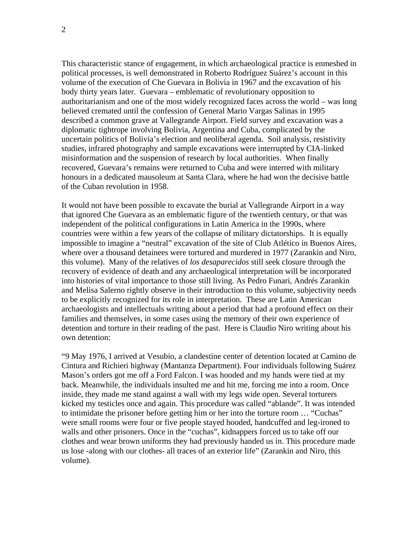This characteristic stance of engagement, in which archaeological practice is enmeshed in political processes, is well demonstrated in Roberto Rodríguez Suárez's account in this volume of the execution of Che Guevara in Bolivia in 1967 and the excavation of his body thirty years later. Guevara – emblematic of revolutionary opposition to authoritarianism and one of the most widely recognized faces across the world – was long believed cremated until the confession of General Mario Vargas Salinas in 1995 described a common grave at Vallegrande Airport. Field survey and excavation was a diplomatic tightrope involving Bolivia, Argentina and Cuba, complicated by the uncertain politics of Bolivia's election and neoliberal agenda. Soil analysis, resistivity studies, infrared photography and sample excavations were interrupted by CIA-linked misinformation and the suspension of research by local authorities. When finally recovered, Guevara's remains were returned to Cuba and were interred with military honours in a dedicated mausoleum at Santa Clara, where he had won the decisive battle of the Cuban revolution in 1958.

It would not have been possible to excavate the burial at Vallegrande Airport in a way that ignored Che Guevara as an emblematic figure of the twentieth century, or that was independent of the political configurations in Latin America in the 1990s, where countries were within a few years of the collapse of military dictatorships. It is equally impossible to imagine a "neutral" excavation of the site of Club Atlético in Buenos Aires, where over a thousand detainees were tortured and murdered in 1977 (Zarankin and Niro, this volume). Many of the relatives of *los desaparecidos* still seek closure through the recovery of evidence of death and any archaeological interpretation will be incorporated into histories of vital importance to those still living. As Pedro Funari, Andrés Zarankin and Melisa Salerno rightly observe in their introduction to this volume, subjectivity needs to be explicitly recognized for its role in interpretation. These are Latin American archaeologists and intellectuals writing about a period that had a profound effect on their families and themselves, in some cases using the memory of their own experience of detention and torture in their reading of the past. Here is Claudio Niro writing about his own detention:

"9 May 1976, I arrived at Vesubio, a clandestine center of detention located at Camino de Cintura and Richieri highway (Mantanza Department). Four individuals following Suárez Mason's orders got me off a Ford Falcon. I was hooded and my hands were tied at my back. Meanwhile, the individuals insulted me and hit me, forcing me into a room. Once inside, they made me stand against a wall with my legs wide open. Several torturers kicked my testicles once and again. This procedure was called "ablande". It was intended to intimidate the prisoner before getting him or her into the torture room … "Cuchas" were small rooms were four or five people stayed hooded, handcuffed and leg-ironed to walls and other prisoners. Once in the "cuchas", kidnappers forced us to take off our clothes and wear brown uniforms they had previously handed us in. This procedure made us lose -along with our clothes- all traces of an exterior life" (Zarankin and Niro, this volume).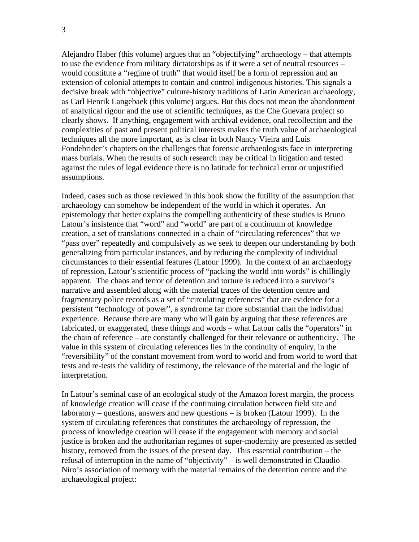Alejandro Haber (this volume) argues that an "objectifying" archaeology – that attempts to use the evidence from military dictatorships as if it were a set of neutral resources – would constitute a "regime of truth" that would itself be a form of repression and an extension of colonial attempts to contain and control indigenous histories. This signals a decisive break with "objective" culture-history traditions of Latin American archaeology, as Carl Henrik Langebaek (this volume) argues. But this does not mean the abandonment of analytical rigour and the use of scientific techniques, as the Che Guevara project so clearly shows. If anything, engagement with archival evidence, oral recollection and the complexities of past and present political interests makes the truth value of archaeological techniques all the more important, as is clear in both Nancy Vieira and Luis Fondebrider's chapters on the challenges that forensic archaeologists face in interpreting mass burials. When the results of such research may be critical in litigation and tested against the rules of legal evidence there is no latitude for technical error or unjustified assumptions.

Indeed, cases such as those reviewed in this book show the futility of the assumption that archaeology can somehow be independent of the world in which it operates. An epistemology that better explains the compelling authenticity of these studies is Bruno Latour's insistence that "word" and "world" are part of a continuum of knowledge creation, a set of translations connected in a chain of "circulating references" that we "pass over" repeatedly and compulsively as we seek to deepen our understanding by both generalizing from particular instances, and by reducing the complexity of individual circumstances to their essential features (Latour 1999). In the context of an archaeology of repression, Latour's scientific process of "packing the world into words" is chillingly apparent. The chaos and terror of detention and torture is reduced into a survivor's narrative and assembled along with the material traces of the detention centre and fragmentary police records as a set of "circulating references" that are evidence for a persistent "technology of power", a syndrome far more substantial than the individual experience. Because there are many who will gain by arguing that these references are fabricated, or exaggerated, these things and words – what Latour calls the "operators" in the chain of reference – are constantly challenged for their relevance or authenticity. The value in this system of circulating references lies in the continuity of enquiry, in the "reversibility" of the constant movement from word to world and from world to word that tests and re-tests the validity of testimony, the relevance of the material and the logic of interpretation.

In Latour's seminal case of an ecological study of the Amazon forest margin, the process of knowledge creation will cease if the continuing circulation between field site and laboratory – questions, answers and new questions – is broken (Latour 1999). In the system of circulating references that constitutes the archaeology of repression, the process of knowledge creation will cease if the engagement with memory and social justice is broken and the authoritarian regimes of super-modernity are presented as settled history, removed from the issues of the present day. This essential contribution – the refusal of interruption in the name of "objectivity" – is well demonstrated in Claudio Niro's association of memory with the material remains of the detention centre and the archaeological project: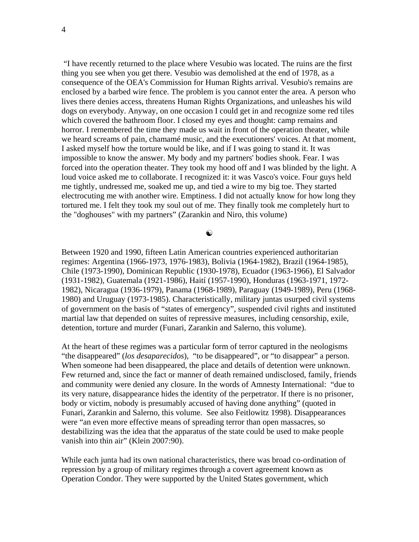"I have recently returned to the place where Vesubio was located. The ruins are the first thing you see when you get there. Vesubio was demolished at the end of 1978, as a consequence of the OEA's Commission for Human Rights arrival. Vesubio's remains are enclosed by a barbed wire fence. The problem is you cannot enter the area. A person who lives there denies access, threatens Human Rights Organizations, and unleashes his wild dogs on everybody. Anyway, on one occasion I could get in and recognize some red tiles which covered the bathroom floor. I closed my eyes and thought: camp remains and horror. I remembered the time they made us wait in front of the operation theater, while we heard screams of pain, chamamé music, and the executioners' voices. At that moment, I asked myself how the torture would be like, and if I was going to stand it. It was impossible to know the answer. My body and my partners' bodies shook. Fear. I was forced into the operation theater. They took my hood off and I was blinded by the light. A loud voice asked me to collaborate. I recognized it: it was Vasco's voice. Four guys held me tightly, undressed me, soaked me up, and tied a wire to my big toe. They started electrocuting me with another wire. Emptiness. I did not actually know for how long they tortured me. I felt they took my soul out of me. They finally took me completely hurt to the "doghouses" with my partners" (Zarankin and Niro, this volume)

## $\mathbf{\hat{c}}$

Between 1920 and 1990, fifteen Latin American countries experienced authoritarian regimes: Argentina (1966-1973, 1976-1983), Bolivia (1964-1982), Brazil (1964-1985), Chile (1973-1990), Dominican Republic (1930-1978), Ecuador (1963-1966), El Salvador (1931-1982), Guatemala (1921-1986), Haití (1957-1990), Honduras (1963-1971, 1972- 1982), Nicaragua (1936-1979), Panama (1968-1989), Paraguay (1949-1989), Peru (1968- 1980) and Uruguay (1973-1985). Characteristically, military juntas usurped civil systems of government on the basis of "states of emergency", suspended civil rights and instituted martial law that depended on suites of repressive measures, including censorship, exile, detention, torture and murder (Funari, Zarankin and Salerno, this volume).

At the heart of these regimes was a particular form of terror captured in the neologisms "the disappeared" (*los desaparecidos*), "to be disappeared", or "to disappear" a person. When someone had been disappeared, the place and details of detention were unknown. Few returned and, since the fact or manner of death remained undisclosed, family, friends and community were denied any closure. In the words of Amnesty International: "due to its very nature, disappearance hides the identity of the perpetrator. If there is no prisoner, body or victim, nobody is presumably accused of having done anything" (quoted in Funari, Zarankin and Salerno, this volume. See also Feitlowitz 1998). Disappearances were "an even more effective means of spreading terror than open massacres, so destabilizing was the idea that the apparatus of the state could be used to make people vanish into thin air" (Klein 2007:90).

While each junta had its own national characteristics, there was broad co-ordination of repression by a group of military regimes through a covert agreement known as Operation Condor. They were supported by the United States government, which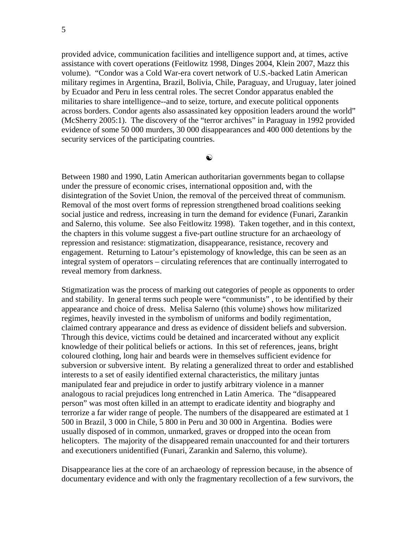provided advice, communication facilities and intelligence support and, at times, active assistance with covert operations (Feitlowitz 1998, Dinges 2004, Klein 2007, Mazz this volume). "Condor was a Cold War-era covert network of U.S.-backed Latin American military regimes in Argentina, Brazil, Bolivia, Chile, Paraguay, and Uruguay, later joined by Ecuador and Peru in less central roles. The secret Condor apparatus enabled the militaries to share intelligence--and to seize, torture, and execute political opponents across borders. Condor agents also assassinated key opposition leaders around the world" (McSherry 2005:1). The discovery of the "terror archives" in Paraguay in 1992 provided evidence of some 50 000 murders, 30 000 disappearances and 400 000 detentions by the security services of the participating countries.

 $\mathbf{\Theta}$ 

Between 1980 and 1990, Latin American authoritarian governments began to collapse under the pressure of economic crises, international opposition and, with the disintegration of the Soviet Union, the removal of the perceived threat of communism. Removal of the most overt forms of repression strengthened broad coalitions seeking social justice and redress, increasing in turn the demand for evidence (Funari, Zarankin and Salerno, this volume. See also Feitlowitz 1998). Taken together, and in this context, the chapters in this volume suggest a five-part outline structure for an archaeology of repression and resistance: stigmatization, disappearance, resistance, recovery and engagement. Returning to Latour's epistemology of knowledge, this can be seen as an integral system of operators – circulating references that are continually interrogated to reveal memory from darkness.

Stigmatization was the process of marking out categories of people as opponents to order and stability. In general terms such people were "communists" , to be identified by their appearance and choice of dress. Melisa Salerno (this volume) shows how militarized regimes, heavily invested in the symbolism of uniforms and bodily regimentation, claimed contrary appearance and dress as evidence of dissident beliefs and subversion. Through this device, victims could be detained and incarcerated without any explicit knowledge of their political beliefs or actions. In this set of references, jeans, bright coloured clothing, long hair and beards were in themselves sufficient evidence for subversion or subversive intent. By relating a generalized threat to order and established interests to a set of easily identified external characteristics, the military juntas manipulated fear and prejudice in order to justify arbitrary violence in a manner analogous to racial prejudices long entrenched in Latin America. The "disappeared person" was most often killed in an attempt to eradicate identity and biography and terrorize a far wider range of people. The numbers of the disappeared are estimated at 1 500 in Brazil, 3 000 in Chile, 5 800 in Peru and 30 000 in Argentina. Bodies were usually disposed of in common, unmarked, graves or dropped into the ocean from helicopters. The majority of the disappeared remain unaccounted for and their torturers and executioners unidentified (Funari, Zarankin and Salerno, this volume).

Disappearance lies at the core of an archaeology of repression because, in the absence of documentary evidence and with only the fragmentary recollection of a few survivors, the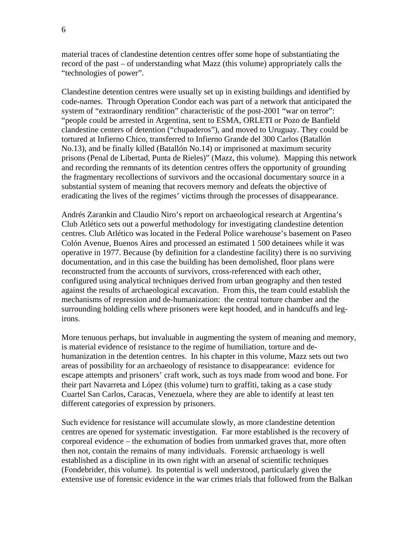material traces of clandestine detention centres offer some hope of substantiating the record of the past – of understanding what Mazz (this volume) appropriately calls the "technologies of power".

Clandestine detention centres were usually set up in existing buildings and identified by code-names. Through Operation Condor each was part of a network that anticipated the system of "extraordinary rendition" characteristic of the post-2001 "war on terror": "people could be arrested in Argentina, sent to ESMA, ORLETI or Pozo de Banfield clandestine centers of detention ("chupaderos"), and moved to Uruguay. They could be tortured at Infierno Chico, transferred to Infierno Grande del 300 Carlos (Batallón No.13), and be finally killed (Batallón No.14) or imprisoned at maximum security prisons (Penal de Libertad, Punta de Rieles)" (Mazz, this volume). Mapping this network and recording the remnants of its detention centres offers the opportunity of grounding the fragmentary recollections of survivors and the occasional documentary source in a substantial system of meaning that recovers memory and defeats the objective of eradicating the lives of the regimes' victims through the processes of disappearance.

Andrés Zarankin and Claudio Niro's report on archaeological research at Argentina's Club Atlético sets out a powerful methodology for investigating clandestine detention centres. Club Atlético was located in the Federal Police warehouse's basement on Paseo Colón Avenue, Buenos Aires and processed an estimated 1 500 detainees while it was operative in 1977. Because (by definition for a clandestine facility) there is no surviving documentation, and in this case the building has been demolished, floor plans were reconstructed from the accounts of survivors, cross-referenced with each other, configured using analytical techniques derived from urban geography and then tested against the results of archaeological excavation. From this, the team could establish the mechanisms of repression and de-humanization: the central torture chamber and the surrounding holding cells where prisoners were kept hooded, and in handcuffs and legirons.

More tenuous perhaps, but invaluable in augmenting the system of meaning and memory, is material evidence of resistance to the regime of humiliation, torture and dehumanization in the detention centres. In his chapter in this volume, Mazz sets out two areas of possibility for an archaeology of resistance to disappearance: evidence for escape attempts and prisoners' craft work, such as toys made from wood and bone. For their part Navarreta and López (this volume) turn to graffiti, taking as a case study Cuartel San Carlos, Caracas, Venezuela, where they are able to identify at least ten different categories of expression by prisoners.

Such evidence for resistance will accumulate slowly, as more clandestine detention centres are opened for systematic investigation. Far more established is the recovery of corporeal evidence – the exhumation of bodies from unmarked graves that, more often then not, contain the remains of many individuals. Forensic archaeology is well established as a discipline in its own right with an arsenal of scientific techniques (Fondebrider, this volume). Its potential is well understood, particularly given the extensive use of forensic evidence in the war crimes trials that followed from the Balkan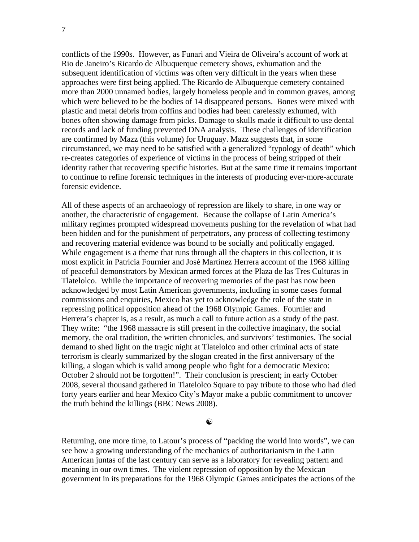conflicts of the 1990s. However, as Funari and Vieira de Oliveira's account of work at Rio de Janeiro's Ricardo de Albuquerque cemetery shows, exhumation and the subsequent identification of victims was often very difficult in the years when these approaches were first being applied. The Ricardo de Albuquerque cemetery contained more than 2000 unnamed bodies, largely homeless people and in common graves, among which were believed to be the bodies of 14 disappeared persons. Bones were mixed with plastic and metal debris from coffins and bodies had been carelessly exhumed, with bones often showing damage from picks. Damage to skulls made it difficult to use dental records and lack of funding prevented DNA analysis. These challenges of identification are confirmed by Mazz (this volume) for Uruguay. Mazz suggests that, in some circumstanced, we may need to be satisfied with a generalized "typology of death" which re-creates categories of experience of victims in the process of being stripped of their identity rather that recovering specific histories. But at the same time it remains important to continue to refine forensic techniques in the interests of producing ever-more-accurate forensic evidence.

All of these aspects of an archaeology of repression are likely to share, in one way or another, the characteristic of engagement. Because the collapse of Latin America's military regimes prompted widespread movements pushing for the revelation of what had been hidden and for the punishment of perpetrators, any process of collecting testimony and recovering material evidence was bound to be socially and politically engaged. While engagement is a theme that runs through all the chapters in this collection, it is most explicit in Patricia Fournier and José Martínez Herrera account of the 1968 killing of peaceful demonstrators by Mexican armed forces at the Plaza de las Tres Culturas in Tlatelolco. While the importance of recovering memories of the past has now been acknowledged by most Latin American governments, including in some cases formal commissions and enquiries, Mexico has yet to acknowledge the role of the state in repressing political opposition ahead of the 1968 Olympic Games. Fournier and Herrera's chapter is, as a result, as much a call to future action as a study of the past. They write: "the 1968 massacre is still present in the collective imaginary, the social memory, the oral tradition, the written chronicles, and survivors' testimonies. The social demand to shed light on the tragic night at Tlatelolco and other criminal acts of state terrorism is clearly summarized by the slogan created in the first anniversary of the killing, a slogan which is valid among people who fight for a democratic Mexico: October 2 should not be forgotten!". Their conclusion is prescient; in early October 2008, several thousand gathered in Tlatelolco Square to pay tribute to those who had died forty years earlier and hear Mexico City's Mayor make a public commitment to uncover the truth behind the killings (BBC News 2008).

 $\mathbf{\hat{c}}$ 

Returning, one more time, to Latour's process of "packing the world into words", we can see how a growing understanding of the mechanics of authoritarianism in the Latin American juntas of the last century can serve as a laboratory for revealing pattern and meaning in our own times. The violent repression of opposition by the Mexican government in its preparations for the 1968 Olympic Games anticipates the actions of the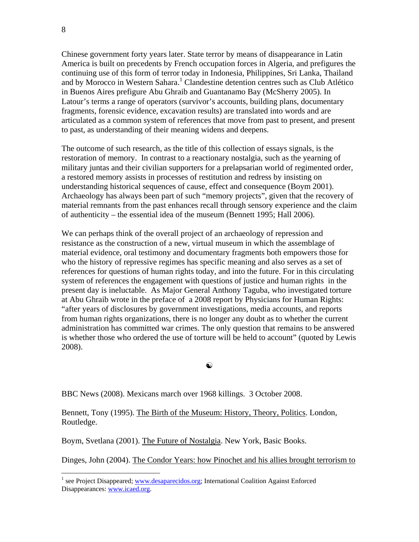Chinese government forty years later. State terror by means of disappearance in Latin America is built on precedents by French occupation forces in Algeria, and prefigures the continuing use of this form of terror today in Indonesia, Philippines, Sri Lanka, Thailand and by Morocco in Western Sahara.<sup>1</sup> Clandestine detention centres such as Club Atlético in Buenos Aires prefigure Abu Ghraib and Guantanamo Bay (McSherry 2005). In Latour's terms a range of operators (survivor's accounts, building plans, documentary fragments, forensic evidence, excavation results) are translated into words and are articulated as a common system of references that move from past to present, and present to past, as understanding of their meaning widens and deepens.

The outcome of such research, as the title of this collection of essays signals, is the restoration of memory. In contrast to a reactionary nostalgia, such as the yearning of military juntas and their civilian supporters for a prelapsarian world of regimented order, a restored memory assists in processes of restitution and redress by insisting on understanding historical sequences of cause, effect and consequence (Boym 2001). Archaeology has always been part of such "memory projects", given that the recovery of material remnants from the past enhances recall through sensory experience and the claim of authenticity – the essential idea of the museum (Bennett 1995; Hall 2006).

We can perhaps think of the overall project of an archaeology of repression and resistance as the construction of a new, virtual museum in which the assemblage of material evidence, oral testimony and documentary fragments both empowers those for who the history of repressive regimes has specific meaning and also serves as a set of references for questions of human rights today, and into the future. For in this circulating system of references the engagement with questions of justice and human rights in the present day is ineluctable. As Major General Anthony Taguba, who investigated torture at Abu Ghraib wrote in the preface of a 2008 report by Physicians for Human Rights: "after years of disclosures by government investigations, media accounts, and reports from human rights organizations, there is no longer any doubt as to whether the current administration has committed war crimes. The only question that remains to be answered is whether those who ordered the use of torture will be held to account" (quoted by Lewis 2008).

 $\mathbf{\hat{c}}$ 

BBC News (2008). Mexicans march over 1968 killings. 3 October 2008.

Bennett, Tony (1995). The Birth of the Museum: History, Theory, Politics. London, Routledge.

Boym, Svetlana (2001). The Future of Nostalgia. New York, Basic Books.

Dinges, John (2004). The Condor Years: how Pinochet and his allies brought terrorism to

 $\overline{a}$ 

<sup>&</sup>lt;sup>1</sup> see Project Disappeared; www.desaparecidos.org; International Coalition Against Enforced Disappearances: www.icaed.org.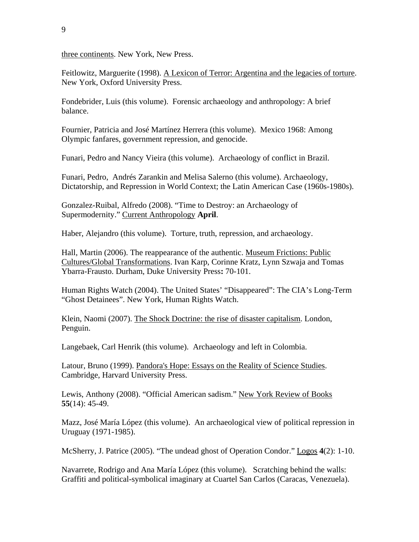three continents. New York, New Press.

Feitlowitz, Marguerite (1998). A Lexicon of Terror: Argentina and the legacies of torture. New York, Oxford University Press.

Fondebrider, Luis (this volume). Forensic archaeology and anthropology: A brief balance.

Fournier, Patricia and José Martínez Herrera (this volume). Mexico 1968: Among Olympic fanfares, government repression, and genocide.

Funari, Pedro and Nancy Vieira (this volume). Archaeology of conflict in Brazil.

Funari, Pedro, Andrés Zarankin and Melisa Salerno (this volume). Archaeology, Dictatorship, and Repression in World Context; the Latin American Case (1960s-1980s).

Gonzalez-Ruibal, Alfredo (2008). "Time to Destroy: an Archaeology of Supermodernity." Current Anthropology **April**.

Haber, Alejandro (this volume).Torture, truth, repression, and archaeology.

Hall, Martin (2006). The reappearance of the authentic. Museum Frictions: Public Cultures/Global Transformations. Ivan Karp, Corinne Kratz, Lynn Szwaja and Tomas Ybarra-Frausto. Durham, Duke University Press**:** 70-101.

Human Rights Watch (2004). The United States' "Disappeared": The CIA's Long-Term "Ghost Detainees". New York, Human Rights Watch.

Klein, Naomi (2007). The Shock Doctrine: the rise of disaster capitalism. London, Penguin.

Langebaek, Carl Henrik (this volume). Archaeology and left in Colombia.

Latour, Bruno (1999). Pandora's Hope: Essays on the Reality of Science Studies. Cambridge, Harvard University Press.

Lewis, Anthony (2008). "Official American sadism." New York Review of Books **55**(14): 45-49.

Mazz, José María López (this volume).An archaeological view of political repression in Uruguay (1971-1985).

McSherry, J. Patrice (2005). "The undead ghost of Operation Condor." Logos **4**(2): 1-10.

Navarrete, Rodrigo and Ana María López (this volume). Scratching behind the walls: Graffiti and political-symbolical imaginary at Cuartel San Carlos (Caracas, Venezuela).